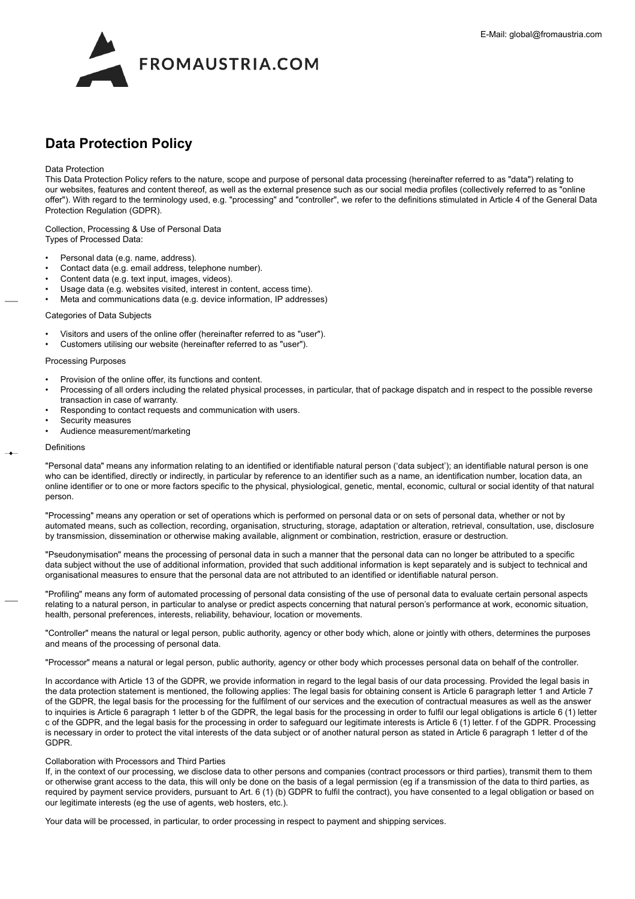<span id="page-0-0"></span>

# **Data Protection Policy**

# Data Protection

This Data Protection Policy refers to the nature, scope and purpose of personal data processing (hereinafter referred to as "data") relating to our websites, features and content thereof, as well as the external presence such as our social media profiles (collectively referred to as "online offer"). With regard to the terminology used, e.g. "processing" and "controller", we refer to the definitions stimulated in Article 4 of the General Data Protection Regulation (GDPR).

Collection, Processing & Use of Personal Data Types of Processed Data:

- Personal data (e.g. name, address).
- Contact data (e.g. email address, telephone number).
- Content data (e.g. text input, images, videos).
- Usage data (e.g. websites visited, interest in content, access time).
- Meta and communications data (e.g. device information, IP addresses)

# Categories of Data Subjects

- Visitors and users of the online offer (hereinafter referred to as "user").
- Customers utilising our website (hereinafter referred to as "user").

# Processing Purposes

- Provision of the online offer, its functions and content.
- Processing of all orders including the related physical processes, in particular, that of package dispatch and in respect to the possible reverse transaction in case of warranty.
- Responding to contact requests and communication with users.
- Security measures
- Audience measurement/marketing

#### Definitions

"Personal data" means any information relating to an identified or identifiable natural person ('data subject'); an identifiable natural person is one who can be identified, directly or indirectly, in particular by reference to an identifier such as a name, an identification number, location data, an online identifier or to one or more factors specific to the physical, physiological, genetic, mental, economic, cultural or social identity of that natural person.

"Processing" means any operation or set of operations which is performed on personal data or on sets of personal data, whether or not by automated means, such as collection, recording, organisation, structuring, storage, adaptation or alteration, retrieval, consultation, use, disclosure by transmission, dissemination or otherwise making available, alignment or combination, restriction, erasure or destruction.

"Pseudonymisation" means the processing of personal data in such a manner that the personal data can no longer be attributed to a specific data subject without the use of additional information, provided that such additional information is kept separately and is subject to technical and organisational measures to ensure that the personal data are not attributed to an identified or identifiable natural person.

"Profiling" means any form of automated processing of personal data consisting of the use of personal data to evaluate certain personal aspects relating to a natural person, in particular to analyse or predict aspects concerning that natural person's performance at work, economic situation, health, personal preferences, interests, reliability, behaviour, location or movements.

"Controller" means the natural or legal person, public authority, agency or other body which, alone or jointly with others, determines the purposes and means of the processing of personal data.

"Processor" means a natural or legal person, public authority, agency or other body which processes personal data on behalf of the controller.

In accordance with Article 13 of the GDPR, we provide information in regard to the legal basis of our data processing. Provided the legal basis in the data protection statement is mentioned, the following applies: The legal basis for obtaining consent is Article 6 paragraph letter 1 and Article 7 of the GDPR, the legal basis for the processing for the fulfilment of our services and the execution of contractual measures as well as the answer to inquiries is Article 6 paragraph 1 letter b of the GDPR, the legal basis for the processing in order to fulfil our legal obligations is article 6 (1) letter c of the GDPR, and the legal basis for the processing in order to safeguard our legitimate interests is Article 6 (1) letter. f of the GDPR. Processing is necessary in order to protect the vital interests of the data subject or of another natural person as stated in Article 6 paragraph 1 letter d of the GDPR.

#### Collaboration with Processors and Third Parties

If, in the context of our processing, we disclose data to other persons and companies (contract processors or third parties), transmit them to them or otherwise grant access to the data, this will only be done on the basis of a legal permission (eg if a transmission of the data to third parties, as required by payment service providers, pursuant to Art. 6 (1) (b) GDPR to fulfil the contract), you have consented to a legal obligation or based on our legitimate interests (eg the use of agents, web hosters, etc.).

Your data will be processed, in particular, to order processing in respect to payment and shipping services.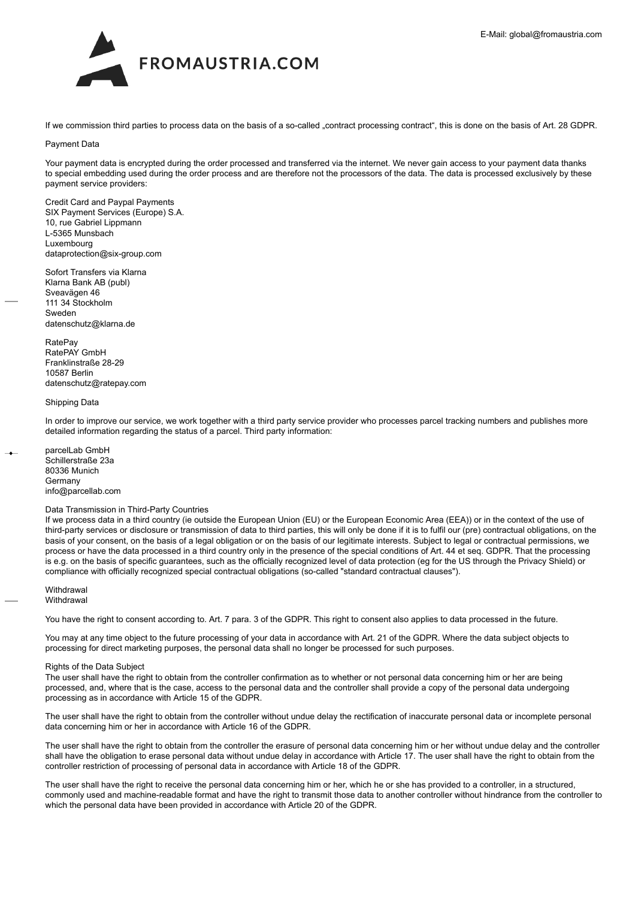

If we commission third parties to process data on the basis of a so-called "contract processing contract", this is done on the basis of Art. 28 GDPR.

# Payment Data

Your payment data is encrypted during the order processed and transferred via the internet. We never gain access to your payment data thanks to special embedding used during the order process and are therefore not the processors of the data. The data is processed exclusively by these payment service providers:

Credit Card and Paypal Payments SIX Payment Services (Europe) S.A. 10, rue Gabriel Lippmann L-5365 Munsbach Luxembourg dataprotection@six-group.com

Sofort Transfers via Klarna Klarna Bank AB (publ) Sveavägen 46 111 34 Stockholm Sweden datenschutz@klarna.de

**RatePay** RatePAY GmbH Franklinstraße 28-29 10587 Berlin datenschutz@ratepay.com

# Shipping Data

In order to improve our service, we work together with a third party service provider who processes parcel tracking numbers and publishes more detailed information regarding the status of a parcel. Third party information:

parcelLab GmbH Schillerstraße 23a 80336 Munich **Germany** info@parcellab.com

# Data Transmission in Third-Party Countries

If we process data in a third country (ie outside the European Union (EU) or the European Economic Area (EEA)) or in the context of the use of third-party services or disclosure or transmission of data to third parties, this will only be done if it is to fulfil our (pre) contractual obligations, on the basis of your consent, on the basis of a legal obligation or on the basis of our legitimate interests. Subject to legal or contractual permissions, we process or have the data processed in a third country only in the presence of the special conditions of Art. 44 et seq. GDPR. That the processing is e.g. on the basis of specific guarantees, such as the officially recognized level of data protection (eg for the US through the Privacy Shield) or compliance with officially recognized special contractual obligations (so-called "standard contractual clauses").

**Withdrawal Withdrawal** 

You have the right to consent according to. Art. 7 para. 3 of the GDPR. This right to consent also applies to data processed in the future.

You may at any time object to the future processing of your data in accordance with Art. 21 of the GDPR. Where the data subject objects to processing for direct marketing purposes, the personal data shall no longer be processed for such purposes.

#### Rights of the Data Subject

The user shall have the right to obtain from the controller confirmation as to whether or not personal data concerning him or her are being processed, and, where that is the case, access to the personal data and the controller shall provide a copy of the personal data undergoing processing as in accordance with Article 15 of the GDPR.

The user shall have the right to obtain from the controller without undue delay the rectification of inaccurate personal data or incomplete personal data concerning him or her in accordance with Article 16 of the GDPR.

The user shall have the right to obtain from the controller the erasure of personal data concerning him or her without undue delay and the controller shall have the obligation to erase personal data without undue delay in accordance with Article 17. The user shall have the right to obtain from the controller restriction of processing of personal data in accordance with Article 18 of the GDPR.

The user shall have the right to receive the personal data concerning him or her, which he or she has provided to a controller, in a structured, commonly used and machine-readable format and have the right to transmit those data to another controller without hindrance from the controller to which the personal data have been provided in accordance with Article 20 of the GDPR.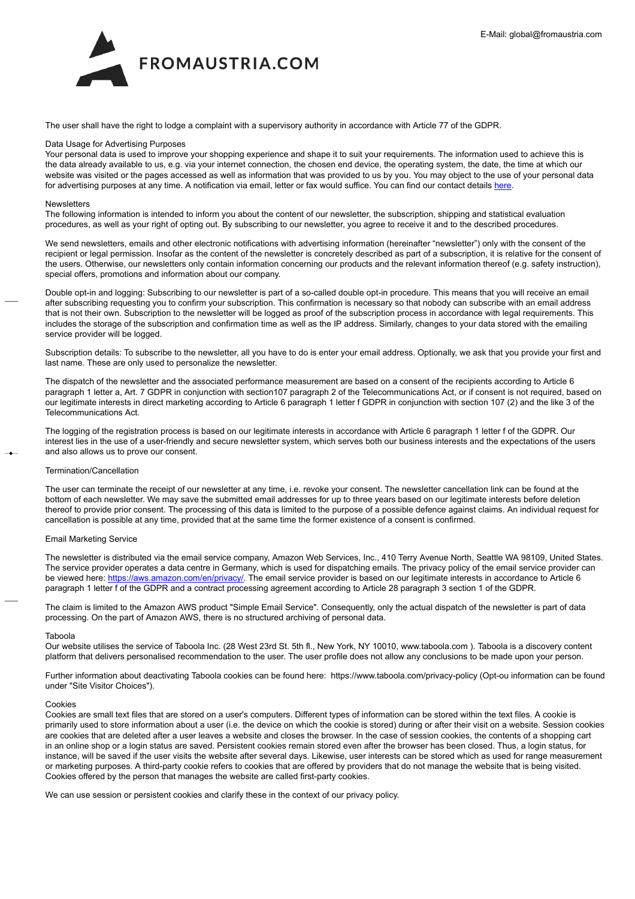

The user shall have the right to lodge a complaint with a supervisory authority in accordance with Article 77 of the GDPR.

### Data Usage for Advertising Purposes

Your personal data is used to improve your shopping experience and shape it to suit your requirements. The information used to achieve this is the data already available to us, e.g. via your internet connection, the chosen end device, the operating system, the date, the time at which our website was visited or the pages accessed as well as information that was provided to us by you. You may object to the use of your personal data for advertising purposes at any time. A notification via email, letter or fax would suffice. You can find our contact details [here](http://https://www.fromaustria.com/de-AT/info/kontakt).

# Newsletters

The following information is intended to inform you about the content of our newsletter, the subscription, shipping and statistical evaluation procedures, as well as your right of opting out. By subscribing to our newsletter, you agree to receive it and to the described procedures.

We send newsletters, emails and other electronic notifications with advertising information (hereinafter "newsletter") only with the consent of the recipient or legal permission. Insofar as the content of the newsletter is concretely described as part of a subscription, it is relative for the consent of the users. Otherwise, our newsletters only contain information concerning our products and the relevant information thereof (e.g. safety instruction), special offers, promotions and information about our company.

Double opt-in and logging: Subscribing to our newsletter is part of a so-called double opt-in procedure. This means that you will receive an email after subscribing requesting you to confirm your subscription. This confirmation is necessary so that nobody can subscribe with an email address that is not their own. Subscription to the newsletter will be logged as proof of the subscription process in accordance with legal requirements. This includes the storage of the subscription and confirmation time as well as the IP address. Similarly, changes to your data stored with the emailing service provider will be logged.

Subscription details: To subscribe to the newsletter, all you have to do is enter your email address. Optionally, we ask that you provide your first and last name. These are only used to personalize the newsletter.

The dispatch of the newsletter and the associated performance measurement are based on a consent of the recipients according to Article 6 paragraph 1 letter a, Art. 7 GDPR in conjunction with section107 paragraph 2 of the Telecommunications Act, or if consent is not required, based on our legitimate interests in direct marketing according to Article 6 paragraph 1 letter f GDPR in conjunction with section 107 (2) and the like 3 of the Telecommunications Act.

The logging of the registration process is based on our legitimate interests in accordance with Article 6 paragraph 1 letter f of the GDPR. Our interest lies in the use of a user-friendly and secure newsletter system, which serves both our business interests and the expectations of the users and also allows us to prove our consent.

#### Termination/Cancellation

The user can terminate the receipt of our newsletter at any time, i.e. revoke your consent. The newsletter cancellation link can be found at the bottom of each newsletter. We may save the submitted email addresses for up to three years based on our legitimate interests before deletion thereof to provide prior consent. The processing of this data is limited to the purpose of a possible defence against claims. An individual request for cancellation is possible at any time, provided that at the same time the former existence of a consent is confirmed.

#### Email Marketing Service

The newsletter is distributed via the email service company, Amazon Web Services, Inc., 410 Terry Avenue North, Seattle WA 98109, United States. The service provider operates a data centre in Germany, which is used for dispatching emails. The privacy policy of the email service provider can be viewed here: [https://aws.amazon.com/en/privacy/](https://aws.amazon.com/privacy/?nc1=h_ls). The email service provider is based on our legitimate interests in accordance to Article 6 paragraph 1 letter f of the GDPR and a contract processing agreement according to Article 28 paragraph 3 section 1 of the GDPR.

The claim is limited to the Amazon AWS product "Simple Email Service". Consequently, only the actual dispatch of the newsletter is part of data processing. On the part of Amazon AWS, there is no structured archiving of personal data.

#### Taboola

Our website utilises the service of Taboola Inc. (28 West 23rd St. 5th fl., New York, NY 10010, www.taboola.com ). Taboola is a discovery content platform that delivers personalised recommendation to the user. The user profile does not allow any conclusions to be made upon your person.

Further information about deactivating Taboola cookies can be found here: https://www.taboola.com/privacy-policy (Opt-ou information can be found under "Site Visitor Choices").

# Cookies

Cookies are small text files that are stored on a user's computers. Different types of information can be stored within the text files. A cookie is primarily used to store information about a user (i.e. the device on which the cookie is stored) during or after their visit on a website. Session cookies are cookies that are deleted after a user leaves a website and closes the browser. In the case of session cookies, the contents of a shopping cart in an online shop or a login status are saved. Persistent cookies remain stored even after the browser has been closed. Thus, a login status, for instance, will be saved if the user visits the website after several days. Likewise, user interests can be stored which as used for range measurement or marketing purposes. A third-party cookie refers to cookies that are offered by providers that do not manage the website that is being visited. Cookies offered by the person that manages the website are called first-party cookies.

We can use session or persistent cookies and clarify these in the context of our privacy policy.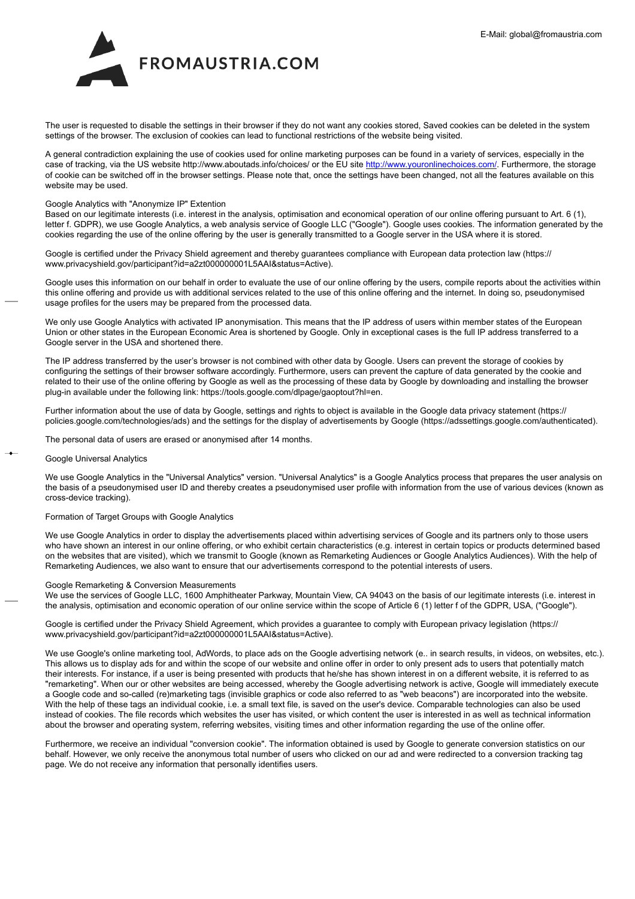

The user is requested to disable the settings in their browser if they do not want any cookies stored, Saved cookies can be deleted in the system settings of the browser. The exclusion of cookies can lead to functional restrictions of the website being visited.

A general contradiction explaining the use of cookies used for online marketing purposes can be found in a variety of services, especially in the case of tracking, via the US website http://www.aboutads.info/choices/ or the EU site [http://www.youronlinechoices.com/](https://www.youronlinechoices.com/). Furthermore, the storage of cookie can be switched off in the browser settings. Please note that, once the settings have been changed, not all the features available on this website may be used.

# Google Analytics with "Anonymize IP" Extention

Based on our legitimate interests (i.e. interest in the analysis, optimisation and economical operation of our online offering pursuant to Art. 6 (1), letter f. GDPR), we use Google Analytics, a web analysis service of Google LLC ("Google"). Google uses cookies. The information generated by the cookies regarding the use of the online offering by the user is generally transmitted to a Google server in the USA where it is stored.

Google is certified under the Privacy Shield agreement and thereby guarantees compliance with European data protection law (https:// www.privacyshield.gov/participant?id=a2zt000000001L5AAI&status=Active).

Google uses this information on our behalf in order to evaluate the use of our online offering by the users, compile reports about the activities within this online offering and provide us with additional services related to the use of this online offering and the internet. In doing so, pseudonymised usage profiles for the users may be prepared from the processed data.

We only use Google Analytics with activated IP anonymisation. This means that the IP address of users within member states of the European Union or other states in the European Economic Area is shortened by Google. Only in exceptional cases is the full IP address transferred to a Google server in the USA and shortened there.

The IP address transferred by the user's browser is not combined with other data by Google. Users can prevent the storage of cookies by configuring the settings of their browser software accordingly. Furthermore, users can prevent the capture of data generated by the cookie and related to their use of the online offering by Google as well as the processing of these data by Google by downloading and installing the browser plug-in available under the following link: https://tools.google.com/dlpage/gaoptout?hl=en.

Further information about the use of data by Google, settings and rights to object is available in the Google data privacy statement (https:// policies.google.com/technologies/ads) and the settings for the display of advertisements by Google (https://adssettings.google.com/authenticated).

The personal data of users are erased or anonymised after 14 months.

# Google Universal Analytics

We use Google Analytics in the "Universal Analytics" version. "Universal Analytics" is a Google Analytics process that prepares the user analysis on the basis of a pseudonymised user ID and thereby creates a pseudonymised user profile with information from the use of various devices (known as cross-device tracking).

# Formation of Target Groups with Google Analytics

We use Google Analytics in order to display the advertisements placed within advertising services of Google and its partners only to those users who have shown an interest in our online offering, or who exhibit certain characteristics (e.g. interest in certain topics or products determined based on the websites that are visited), which we transmit to Google (known as Remarketing Audiences or Google Analytics Audiences). With the help of Remarketing Audiences, we also want to ensure that our advertisements correspond to the potential interests of users.

#### Google Remarketing & Conversion Measurements

We use the services of Google LLC, 1600 Amphitheater Parkway, Mountain View, CA 94043 on the basis of our legitimate interests (i.e. interest in the analysis, optimisation and economic operation of our online service within the scope of Article 6 (1) letter f of the GDPR, USA, ("Google").

Google is certified under the Privacy Shield Agreement, which provides a guarantee to comply with European privacy legislation (https:// www.privacyshield.gov/participant?id=a2zt000000001L5AAI&status=Active).

We use Google's online marketing tool, AdWords, to place ads on the Google advertising network (e.. in search results, in videos, on websites, etc.). This allows us to display ads for and within the scope of our website and online offer in order to only present ads to users that potentially match their interests. For instance, if a user is being presented with products that he/she has shown interest in on a different website, it is referred to as "remarketing". When our or other websites are being accessed, whereby the Google advertising network is active, Google will immediately execute a Google code and so-called (re)marketing tags (invisible graphics or code also referred to as "web beacons") are incorporated into the website. With the help of these tags an individual cookie, i.e. a small text file, is saved on the user's device. Comparable technologies can also be used instead of cookies. The file records which websites the user has visited, or which content the user is interested in as well as technical information about the browser and operating system, referring websites, visiting times and other information regarding the use of the online offer.

Furthermore, we receive an individual "conversion cookie". The information obtained is used by Google to generate conversion statistics on our behalf. However, we only receive the anonymous total number of users who clicked on our ad and were redirected to a conversion tracking tag page. We do not receive any information that personally identifies users.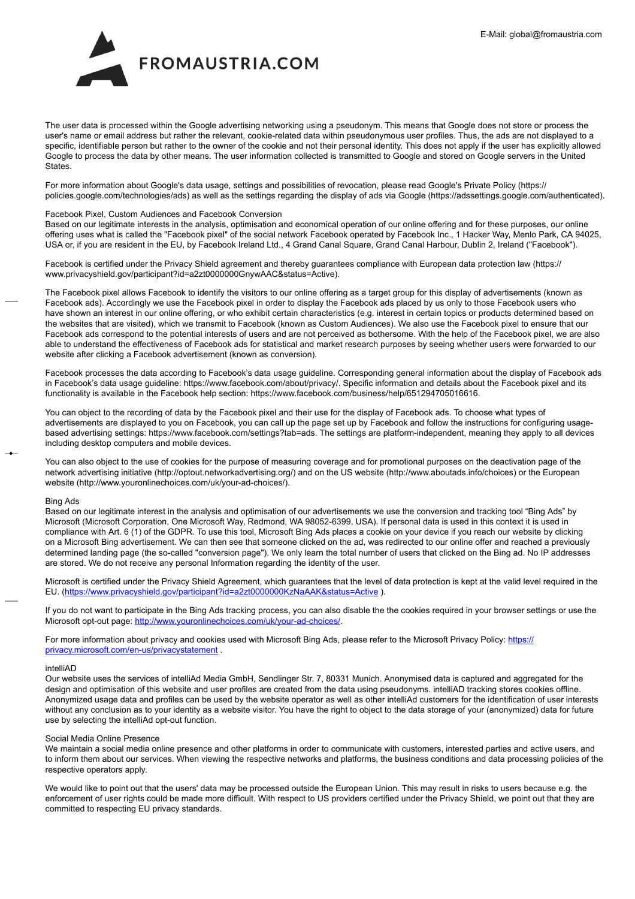

The user data is processed within the Google advertising networking using a pseudonym. This means that Google does not store or process the user's name or email address but rather the relevant, cookie-related data within pseudonymous user profiles. Thus, the ads are not displayed to a specific, identifiable person but rather to the owner of the cookie and not their personal identity. This does not apply if the user has explicitly allowed Google to process the data by other means. The user information collected is transmitted to Google and stored on Google servers in the United **States** 

For more information about Google's data usage, settings and possibilities of revocation, please read Google's Private Policy (https:// policies.google.com/technologies/ads) as well as the settings regarding the display of ads via Google (https://adssettings.google.com/authenticated).

# Facebook Pixel, Custom Audiences and Facebook Conversion

Based on our legitimate interests in the analysis, optimisation and economical operation of our online offering and for these purposes, our online offering uses what is called the "Facebook pixel" of the social network Facebook operated by Facebook Inc., 1 Hacker Way, Menlo Park, CA 94025, USA or, if you are resident in the EU, by Facebook Ireland Ltd., 4 Grand Canal Square, Grand Canal Harbour, Dublin 2, Ireland ("Facebook").

Facebook is certified under the Privacy Shield agreement and thereby guarantees compliance with European data protection law (https:// www.privacyshield.gov/participant?id=a2zt0000000GnywAAC&status=Active).

The Facebook pixel allows Facebook to identify the visitors to our online offering as a target group for this display of advertisements (known as Facebook ads). Accordingly we use the Facebook pixel in order to display the Facebook ads placed by us only to those Facebook users who have shown an interest in our online offering, or who exhibit certain characteristics (e.g. interest in certain topics or products determined based on the websites that are visited), which we transmit to Facebook (known as Custom Audiences). We also use the Facebook pixel to ensure that our Facebook ads correspond to the potential interests of users and are not perceived as bothersome. With the help of the Facebook pixel, we are also able to understand the effectiveness of Facebook ads for statistical and market research purposes by seeing whether users were forwarded to our website after clicking a Facebook advertisement (known as conversion).

Facebook processes the data according to Facebook's data usage guideline. Corresponding general information about the display of Facebook ads in Facebook's data usage guideline: https://www.facebook.com/about/privacy/. Specific information and details about the Facebook pixel and its functionality is available in the Facebook help section: https://www.facebook.com/business/help/651294705016616.

You can object to the recording of data by the Facebook pixel and their use for the display of Facebook ads. To choose what types of advertisements are displayed to you on Facebook, you can call up the page set up by Facebook and follow the instructions for configuring usagebased advertising settings: https://www.facebook.com/settings?tab=ads. The settings are platform-independent, meaning they apply to all devices including desktop computers and mobile devices.

You can also object to the use of cookies for the purpose of measuring coverage and for promotional purposes on the deactivation page of the network advertising initiative (http://optout.networkadvertising.org/) and on the US website (http://www.aboutads.info/choices) or the European website (http://www.youronlinechoices.com/uk/your-ad-choices/).

#### Bing Ads

Based on our legitimate interest in the analysis and optimisation of our advertisements we use the conversion and tracking tool "Bing Ads" by Microsoft (Microsoft Corporation, One Microsoft Way, Redmond, WA 98052-6399, USA). If personal data is used in this context it is used in compliance with Art. 6 (1) of the GDPR. To use this tool, Microsoft Bing Ads places a cookie on your device if you reach our website by clicking on a Microsoft Bing advertisement. We can then see that someone clicked on the ad, was redirected to our online offer and reached a previously determined landing page (the so-called "conversion page"). We only learn the total number of users that clicked on the Bing ad. No IP addresses are stored. We do not receive any personal Information regarding the identity of the user.

Microsoft is certified under the Privacy Shield Agreement, which guarantees that the level of data protection is kept at the valid level required in the EU. (<https://www.privacyshield.gov/participant?id=a2zt0000000KzNaAAK&status=Active> ).

If you do not want to participate in the Bing Ads tracking process, you can also disable the the cookies required in your browser settings or use the Microsoft opt-out page: [http://www.youronlinechoices.com/uk/your-ad-choices/.](http://www.youronlinechoices.com/uk/your-ad-choices/)

For more information about privacy and cookies used with Microsoft Bing Ads, please refer to the Microsoft Privacy Policy: [https://](https://privacy.microsoft.com/de-de/privacystatement) [privacy.microsoft.com/en-us/privacystatement](https://privacy.microsoft.com/de-de/privacystatement) .

#### intelliAD

Our website uses the services of intelliAd Media GmbH, Sendlinger Str. 7, 80331 Munich. Anonymised data is captured and aggregated for the design and optimisation of this website and user profiles are created from the data using pseudonyms. intelliAD tracking stores cookies offline. Anonymized usage data and profiles can be used by the website operator as well as other intelliAd customers for the identification of user interests without any conclusion as to your identity as a website visitor. You have the right to object to the data storage of your (anonymized) data for future use by selecting the intelliAd opt-out function.

# Social Media Online Presence

We maintain a social media online presence and other platforms in order to communicate with customers, interested parties and active users, and to inform them about our services. When viewing the respective networks and platforms, the business conditions and data processing policies of the respective operators apply.

We would like to point out that the users' data may be processed outside the European Union. This may result in risks to users because e.g. the enforcement of user rights could be made more difficult. With respect to US providers certified under the Privacy Shield, we point out that they are committed to respecting EU privacy standards.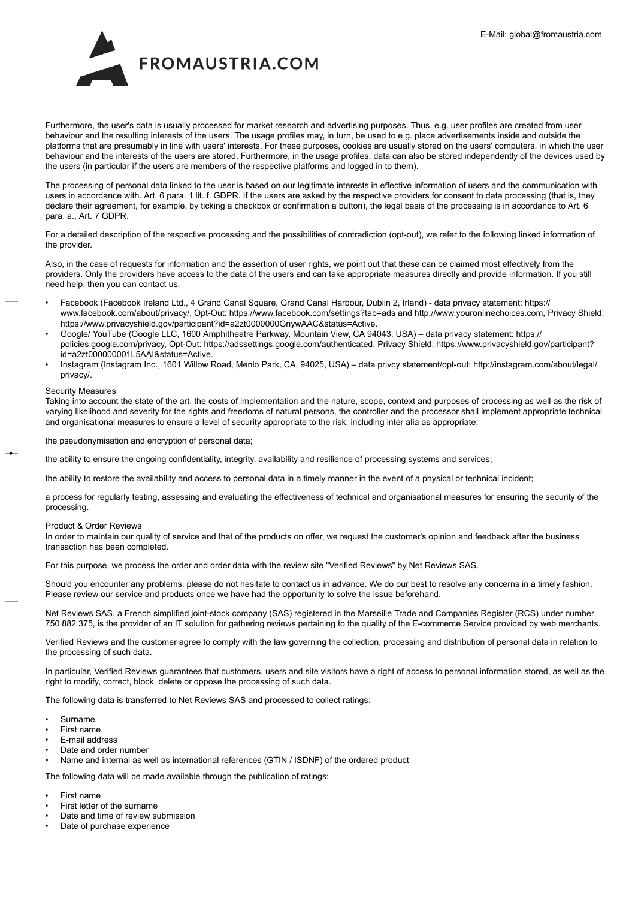

Furthermore, the user's data is usually processed for market research and advertising purposes. Thus, e.g. user profiles are created from user behaviour and the resulting interests of the users. The usage profiles may, in turn, be used to e.g. place advertisements inside and outside the platforms that are presumably in line with users' interests. For these purposes, cookies are usually stored on the users' computers, in which the user behaviour and the interests of the users are stored. Furthermore, in the usage profiles, data can also be stored independently of the devices used by the users (in particular if the users are members of the respective platforms and logged in to them).

The processing of personal data linked to the user is based on our legitimate interests in effective information of users and the communication with users in accordance with. Art. 6 para. 1 lit. f. GDPR. If the users are asked by the respective providers for consent to data processing (that is, they declare their agreement, for example, by ticking a checkbox or confirmation a button), the legal basis of the processing is in accordance to Art. 6 para. a., Art. 7 GDPR.

For a detailed description of the respective processing and the possibilities of contradiction (opt-out), we refer to the following linked information of the provider.

Also, in the case of requests for information and the assertion of user rights, we point out that these can be claimed most effectively from the providers. Only the providers have access to the data of the users and can take appropriate measures directly and provide information. If you still need help, then you can contact us.

- Facebook (Facebook Ireland Ltd., 4 Grand Canal Square, Grand Canal Harbour, Dublin 2, Irland) data privacy statement: https:// www.facebook.com/about/privacy/, Opt-Out: https://www.facebook.com/settings?tab=ads and http://www.youronlinechoices.com, Privacy Shield: https://www.privacyshield.gov/participant?id=a2zt0000000GnywAAC&status=Active.
- Google/ YouTube (Google LLC, 1600 Amphitheatre Parkway, Mountain View, CA 94043, USA) data privacy statement: https:// policies.google.com/privacy, Opt-Out: https://adssettings.google.com/authenticated, Privacy Shield: https://www.privacyshield.gov/participant? id=a2zt000000001L5AAI&status=Active.
- Instagram (Instagram Inc., 1601 Willow Road, Menlo Park, CA, 94025, USA) data privcy statement/opt-out: http://instagram.com/about/legal/ privacy/.

# Security Measures

Taking into account the state of the art, the costs of implementation and the nature, scope, context and purposes of processing as well as the risk of varying likelihood and severity for the rights and freedoms of natural persons, the controller and the processor shall implement appropriate technical and organisational measures to ensure a level of security appropriate to the risk, including inter alia as appropriate:

the pseudonymisation and encryption of personal data;

the ability to ensure the ongoing confidentiality, integrity, availability and resilience of processing systems and services;

the ability to restore the availability and access to personal data in a timely manner in the event of a physical or technical incident;

a process for regularly testing, assessing and evaluating the effectiveness of technical and organisational measures for ensuring the security of the processing.

# Product & Order Reviews

In order to maintain our quality of service and that of the products on offer, we request the customer's opinion and feedback after the business transaction has been completed.

For this purpose, we process the order and order data with the review site "Verified Reviews" by Net Reviews SAS.

Should you encounter any problems, please do not hesitate to contact us in advance. We do our best to resolve any concerns in a timely fashion. Please review our service and products once we have had the opportunity to solve the issue beforehand.

Net Reviews SAS, a French simplified joint-stock company (SAS) registered in the Marseille Trade and Companies Register (RCS) under number 750 882 375, is the provider of an IT solution for gathering reviews pertaining to the quality of the E-commerce Service provided by web merchants.

Verified Reviews and the customer agree to comply with the law governing the collection, processing and distribution of personal data in relation to the processing of such data.

In particular, Verified Reviews guarantees that customers, users and site visitors have a right of access to personal information stored, as well as the right to modify, correct, block, delete or oppose the processing of such data.

The following data is transferred to Net Reviews SAS and processed to collect ratings:

- Surname
- First name
- E-mail address
- Date and order number
- Name and internal as well as international references (GTIN / ISDNF) of the ordered product

The following data will be made available through the publication of ratings:

- First name
- First letter of the surname
- Date and time of review submission
- Date of purchase experience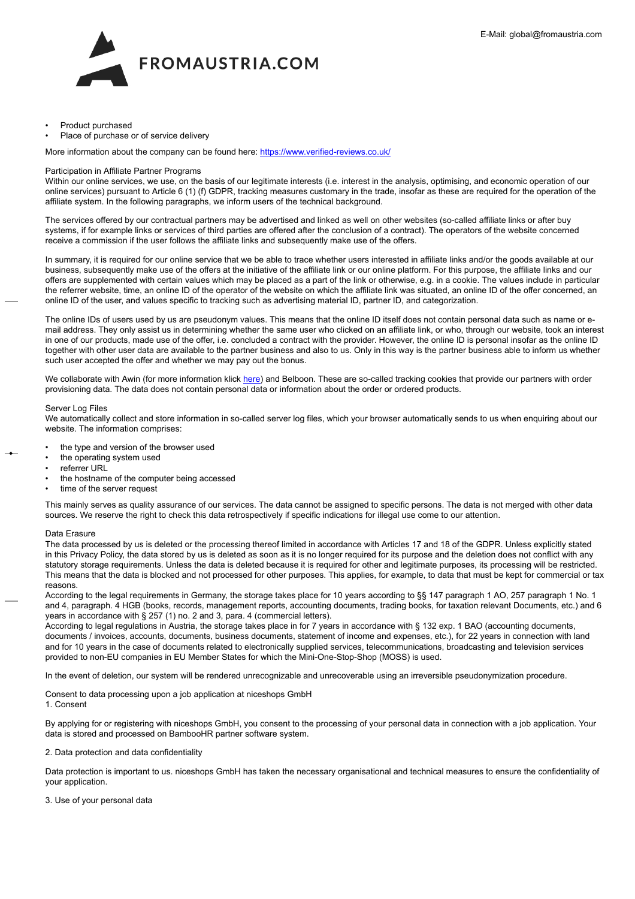

- Product purchased
- Place of purchase or of service delivery

More information about the company can be found here: <https://www.verified-reviews.co.uk/>

#### Participation in Affiliate Partner Programs

Within our online services, we use, on the basis of our legitimate interests (i.e. interest in the analysis, optimising, and economic operation of our online services) pursuant to Article 6 (1) (f) GDPR, tracking measures customary in the trade, insofar as these are required for the operation of the affiliate system. In the following paragraphs, we inform users of the technical background.

The services offered by our contractual partners may be advertised and linked as well on other websites (so-called affiliate links or after buy systems, if for example links or services of third parties are offered after the conclusion of a contract). The operators of the website concerned receive a commission if the user follows the affiliate links and subsequently make use of the offers.

In summary, it is required for our online service that we be able to trace whether users interested in affiliate links and/or the goods available at our business, subsequently make use of the offers at the initiative of the affiliate link or our online platform. For this purpose, the affiliate links and our offers are supplemented with certain values which may be placed as a part of the link or otherwise, e.g. in a cookie. The values include in particular the referrer website, time, an online ID of the operator of the website on which the affiliate link was situated, an online ID of the offer concerned, an online ID of the user, and values specific to tracking such as advertising material ID, partner ID, and categorization.

The online IDs of users used by us are pseudonym values. This means that the online ID itself does not contain personal data such as name or email address. They only assist us in determining whether the same user who clicked on an affiliate link, or who, through our website, took an interest in one of our products, made use of the offer, i.e. concluded a contract with the provider. However, the online ID is personal insofar as the online ID together with other user data are available to the partner business and also to us. Only in this way is the partner business able to inform us whether such user accepted the offer and whether we may pay out the bonus.

We collaborate with Awin (for more information klick [here\)](#page-0-0) and Belboon. These are so-called tracking cookies that provide our partners with order provisioning data. The data does not contain personal data or information about the order or ordered products.

#### Server Log Files

We automatically collect and store information in so-called server log files, which your browser automatically sends to us when enquiring about our website. The information comprises:

- the type and version of the browser used
- the operating system used
- referrer URL
- the hostname of the computer being accessed
- time of the server request

This mainly serves as quality assurance of our services. The data cannot be assigned to specific persons. The data is not merged with other data sources. We reserve the right to check this data retrospectively if specific indications for illegal use come to our attention.

# Data Erasure

The data processed by us is deleted or the processing thereof limited in accordance with Articles 17 and 18 of the GDPR. Unless explicitly stated in this Privacy Policy, the data stored by us is deleted as soon as it is no longer required for its purpose and the deletion does not conflict with any statutory storage requirements. Unless the data is deleted because it is required for other and legitimate purposes, its processing will be restricted. This means that the data is blocked and not processed for other purposes. This applies, for example, to data that must be kept for commercial or tax reasons.

According to the legal requirements in Germany, the storage takes place for 10 years according to §§ 147 paragraph 1 AO, 257 paragraph 1 No. 1 and 4, paragraph. 4 HGB (books, records, management reports, accounting documents, trading books, for taxation relevant Documents, etc.) and 6 years in accordance with § 257 (1) no. 2 and 3, para. 4 (commercial letters).

According to legal regulations in Austria, the storage takes place in for 7 years in accordance with § 132 exp. 1 BAO (accounting documents, documents / invoices, accounts, documents, business documents, statement of income and expenses, etc.), for 22 years in connection with land and for 10 years in the case of documents related to electronically supplied services, telecommunications, broadcasting and television services provided to non-EU companies in EU Member States for which the Mini-One-Stop-Shop (MOSS) is used.

In the event of deletion, our system will be rendered unrecognizable and unrecoverable using an irreversible pseudonymization procedure.

Consent to data processing upon a job application at niceshops GmbH 1. Consent

By applying for or registering with niceshops GmbH, you consent to the processing of your personal data in connection with a job application. Your data is stored and processed on BambooHR partner software system.

2. Data protection and data confidentiality

Data protection is important to us. niceshops GmbH has taken the necessary organisational and technical measures to ensure the confidentiality of your application.

3. Use of your personal data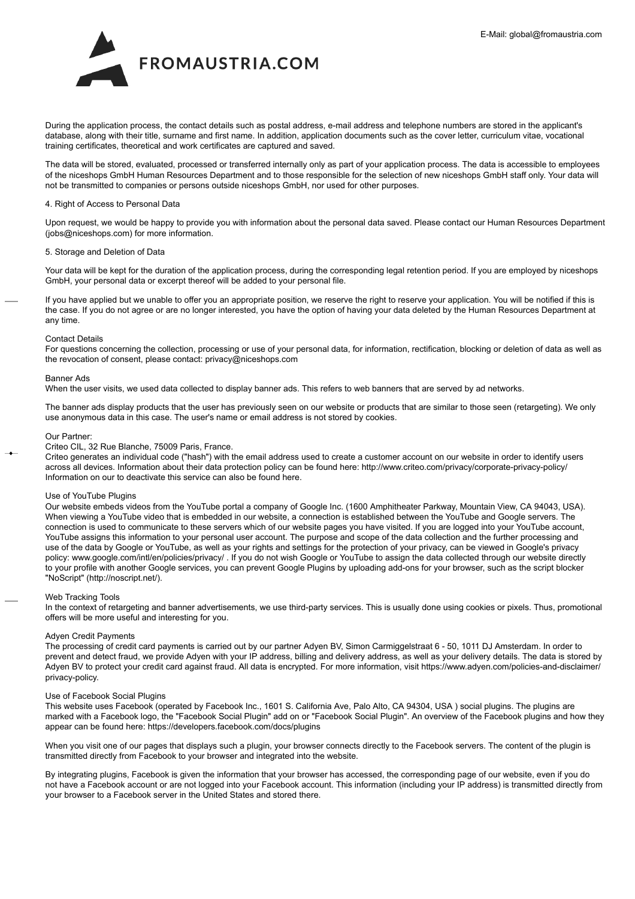

During the application process, the contact details such as postal address, e-mail address and telephone numbers are stored in the applicant's database, along with their title, surname and first name. In addition, application documents such as the cover letter, curriculum vitae, vocational training certificates, theoretical and work certificates are captured and saved.

The data will be stored, evaluated, processed or transferred internally only as part of your application process. The data is accessible to employees of the niceshops GmbH Human Resources Department and to those responsible for the selection of new niceshops GmbH staff only. Your data will not be transmitted to companies or persons outside niceshops GmbH, nor used for other purposes.

# 4. Right of Access to Personal Data

Upon request, we would be happy to provide you with information about the personal data saved. Please contact our Human Resources Department (jobs@niceshops.com) for more information.

# 5. Storage and Deletion of Data

Your data will be kept for the duration of the application process, during the corresponding legal retention period. If you are employed by niceshops GmbH, your personal data or excerpt thereof will be added to your personal file.

If you have applied but we unable to offer you an appropriate position, we reserve the right to reserve your application. You will be notified if this is the case. If you do not agree or are no longer interested, you have the option of having your data deleted by the Human Resources Department at any time.

#### Contact Details

For questions concerning the collection, processing or use of your personal data, for information, rectification, blocking or deletion of data as well as the revocation of consent, please contact: privacy@niceshops.com

# Banner Ads

When the user visits, we used data collected to display banner ads. This refers to web banners that are served by ad networks.

The banner ads display products that the user has previously seen on our website or products that are similar to those seen (retargeting). We only use anonymous data in this case. The user's name or email address is not stored by cookies.

#### Our Partner:

Criteo CIL, 32 Rue Blanche, 75009 Paris, France.

Criteo generates an individual code ("hash") with the email address used to create a customer account on our website in order to identify users across all devices. Information about their data protection policy can be found here: http://www.criteo.com/privacy/corporate-privacy-policy/ Information on our to deactivate this service can also be found here.

# Use of YouTube Plugins

Our website embeds videos from the YouTube portal a company of Google Inc. (1600 Amphitheater Parkway, Mountain View, CA 94043, USA). When viewing a YouTube video that is embedded in our website, a connection is established between the YouTube and Google servers. The connection is used to communicate to these servers which of our website pages you have visited. If you are logged into your YouTube account, YouTube assigns this information to your personal user account. The purpose and scope of the data collection and the further processing and use of the data by Google or YouTube, as well as your rights and settings for the protection of your privacy, can be viewed in Google's privacy policy: www.google.com/intl/en/policies/privacy/ . If you do not wish Google or YouTube to assign the data collected through our website directly to your profile with another Google services, you can prevent Google Plugins by uploading add-ons for your browser, such as the script blocker "NoScript" (http://noscript.net/).

# Web Tracking Tools

In the context of retargeting and banner advertisements, we use third-party services. This is usually done using cookies or pixels. Thus, promotional offers will be more useful and interesting for you.

# Adyen Credit Payments

The processing of credit card payments is carried out by our partner Adyen BV, Simon Carmiggelstraat 6 - 50, 1011 DJ Amsterdam. In order to prevent and detect fraud, we provide Adyen with your IP address, billing and delivery address, as well as your delivery details. The data is stored by Adyen BV to protect your credit card against fraud. All data is encrypted. For more information, visit https://www.adyen.com/policies-and-disclaimer/ privacy-policy.

# Use of Facebook Social Plugins

This website uses Facebook (operated by Facebook Inc., 1601 S. California Ave, Palo Alto, CA 94304, USA ) social plugins. The plugins are marked with a Facebook logo, the "Facebook Social Plugin" add on or "Facebook Social Plugin". An overview of the Facebook plugins and how they appear can be found here: https://developers.facebook.com/docs/plugins

When you visit one of our pages that displays such a plugin, your browser connects directly to the Facebook servers. The content of the plugin is transmitted directly from Facebook to your browser and integrated into the website.

By integrating plugins, Facebook is given the information that your browser has accessed, the corresponding page of our website, even if you do not have a Facebook account or are not logged into your Facebook account. This information (including your IP address) is transmitted directly from your browser to a Facebook server in the United States and stored there.